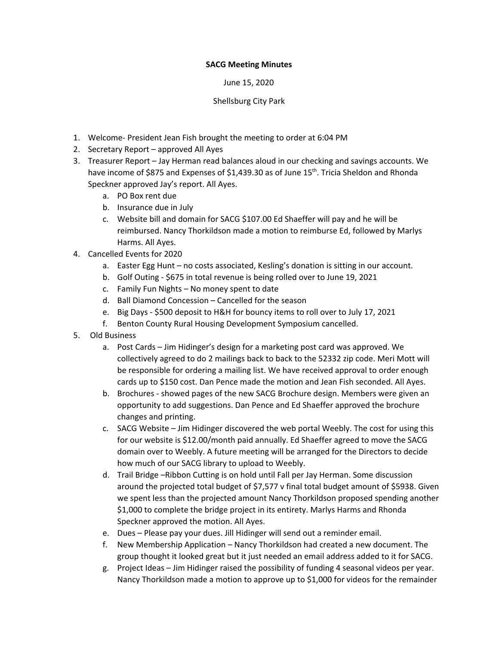## **SACG Meeting Minutes**

June 15, 2020

## Shellsburg City Park

- 1. Welcome- President Jean Fish brought the meeting to order at 6:04 PM
- 2. Secretary Report approved All Ayes
- 3. Treasurer Report Jay Herman read balances aloud in our checking and savings accounts. We have income of \$875 and Expenses of \$1,439.30 as of June 15<sup>th</sup>. Tricia Sheldon and Rhonda Speckner approved Jay's report. All Ayes.
	- a. PO Box rent due
	- b. Insurance due in July
	- c. Website bill and domain for SACG \$107.00 Ed Shaeffer will pay and he will be reimbursed. Nancy Thorkildson made a motion to reimburse Ed, followed by Marlys Harms. All Ayes.
- 4. Cancelled Events for 2020
	- a. Easter Egg Hunt no costs associated, Kesling's donation is sitting in our account.
	- b. Golf Outing \$675 in total revenue is being rolled over to June 19, 2021
	- c. Family Fun Nights No money spent to date
	- d. Ball Diamond Concession Cancelled for the season
	- e. Big Days \$500 deposit to H&H for bouncy items to roll over to July 17, 2021
	- f. Benton County Rural Housing Development Symposium cancelled.
- 5. Old Business
	- a. Post Cards Jim Hidinger's design for a marketing post card was approved. We collectively agreed to do 2 mailings back to back to the 52332 zip code. Meri Mott will be responsible for ordering a mailing list. We have received approval to order enough cards up to \$150 cost. Dan Pence made the motion and Jean Fish seconded. All Ayes.
	- b. Brochures showed pages of the new SACG Brochure design. Members were given an opportunity to add suggestions. Dan Pence and Ed Shaeffer approved the brochure changes and printing.
	- c. SACG Website Jim Hidinger discovered the web portal Weebly. The cost for using this for our website is \$12.00/month paid annually. Ed Shaeffer agreed to move the SACG domain over to Weebly. A future meeting will be arranged for the Directors to decide how much of our SACG library to upload to Weebly.
	- d. Trail Bridge –Ribbon Cutting is on hold until Fall per Jay Herman. Some discussion around the projected total budget of \$7,577 v final total budget amount of \$5938. Given we spent less than the projected amount Nancy Thorkildson proposed spending another \$1,000 to complete the bridge project in its entirety. Marlys Harms and Rhonda Speckner approved the motion. All Ayes.
	- e. Dues Please pay your dues. Jill Hidinger will send out a reminder email.
	- f. New Membership Application Nancy Thorkildson had created a new document. The group thought it looked great but it just needed an email address added to it for SACG.
	- g. Project Ideas Jim Hidinger raised the possibility of funding 4 seasonal videos per year. Nancy Thorkildson made a motion to approve up to \$1,000 for videos for the remainder